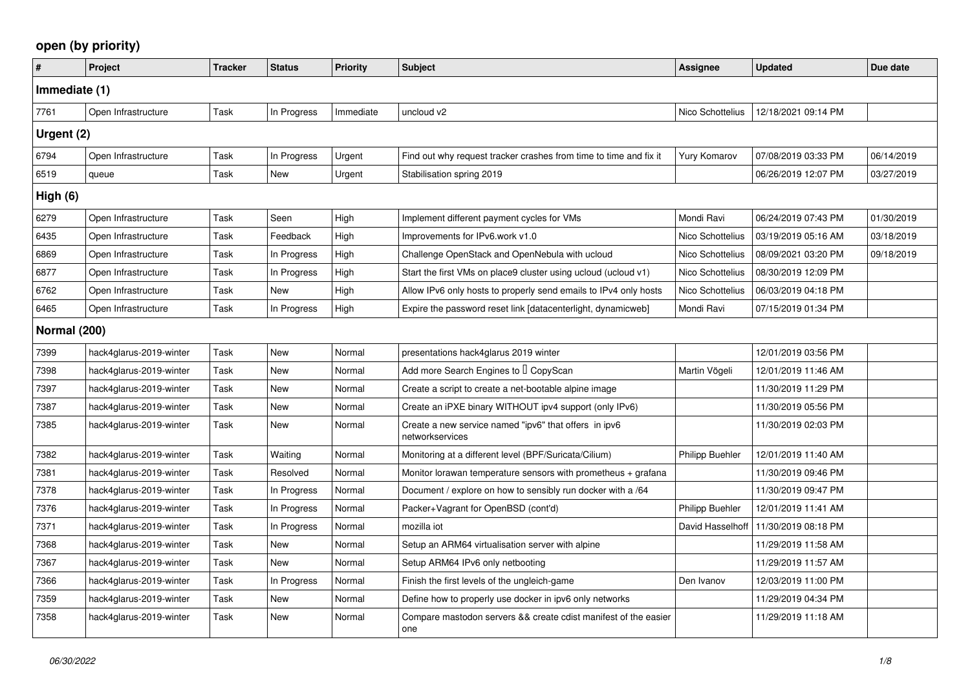## **open (by priority)**

| $\vert$ #    | Project                 | <b>Tracker</b> | <b>Status</b> | Priority  | <b>Subject</b>                                                           | <b>Assignee</b>        | <b>Updated</b>      | Due date   |  |
|--------------|-------------------------|----------------|---------------|-----------|--------------------------------------------------------------------------|------------------------|---------------------|------------|--|
|              | Immediate (1)           |                |               |           |                                                                          |                        |                     |            |  |
| 7761         | Open Infrastructure     | <b>Task</b>    | In Progress   | Immediate | uncloud v2                                                               | Nico Schottelius       | 12/18/2021 09:14 PM |            |  |
| Urgent (2)   |                         |                |               |           |                                                                          |                        |                     |            |  |
| 6794         | Open Infrastructure     | Task           | In Progress   | Urgent    | Find out why request tracker crashes from time to time and fix it        | <b>Yury Komarov</b>    | 07/08/2019 03:33 PM | 06/14/2019 |  |
| 6519         | queue                   | Task           | New           | Urgent    | Stabilisation spring 2019                                                |                        | 06/26/2019 12:07 PM | 03/27/2019 |  |
| High (6)     |                         |                |               |           |                                                                          |                        |                     |            |  |
| 6279         | Open Infrastructure     | Task           | Seen          | High      | Implement different payment cycles for VMs                               | Mondi Ravi             | 06/24/2019 07:43 PM | 01/30/2019 |  |
| 6435         | Open Infrastructure     | Task           | Feedback      | High      | Improvements for IPv6.work v1.0                                          | Nico Schottelius       | 03/19/2019 05:16 AM | 03/18/2019 |  |
| 6869         | Open Infrastructure     | Task           | In Progress   | High      | Challenge OpenStack and OpenNebula with ucloud                           | Nico Schottelius       | 08/09/2021 03:20 PM | 09/18/2019 |  |
| 6877         | Open Infrastructure     | Task           | In Progress   | High      | Start the first VMs on place9 cluster using ucloud (ucloud v1)           | Nico Schottelius       | 08/30/2019 12:09 PM |            |  |
| 6762         | Open Infrastructure     | Task           | New           | High      | Allow IPv6 only hosts to properly send emails to IPv4 only hosts         | Nico Schottelius       | 06/03/2019 04:18 PM |            |  |
| 6465         | Open Infrastructure     | Task           | In Progress   | High      | Expire the password reset link [datacenterlight, dynamicweb]             | Mondi Ravi             | 07/15/2019 01:34 PM |            |  |
| Normal (200) |                         |                |               |           |                                                                          |                        |                     |            |  |
| 7399         | hack4glarus-2019-winter | Task           | <b>New</b>    | Normal    | presentations hack4glarus 2019 winter                                    |                        | 12/01/2019 03:56 PM |            |  |
| 7398         | hack4glarus-2019-winter | Task           | New           | Normal    | Add more Search Engines to I CopyScan                                    | Martin Vögeli          | 12/01/2019 11:46 AM |            |  |
| 7397         | hack4glarus-2019-winter | Task           | <b>New</b>    | Normal    | Create a script to create a net-bootable alpine image                    |                        | 11/30/2019 11:29 PM |            |  |
| 7387         | hack4glarus-2019-winter | Task           | New           | Normal    | Create an iPXE binary WITHOUT ipv4 support (only IPv6)                   |                        | 11/30/2019 05:56 PM |            |  |
| 7385         | hack4glarus-2019-winter | Task           | New           | Normal    | Create a new service named "ipv6" that offers in ipv6<br>networkservices |                        | 11/30/2019 02:03 PM |            |  |
| 7382         | hack4glarus-2019-winter | Task           | Waiting       | Normal    | Monitoring at a different level (BPF/Suricata/Cilium)                    | <b>Philipp Buehler</b> | 12/01/2019 11:40 AM |            |  |
| 7381         | hack4glarus-2019-winter | Task           | Resolved      | Normal    | Monitor lorawan temperature sensors with prometheus + grafana            |                        | 11/30/2019 09:46 PM |            |  |
| 7378         | hack4glarus-2019-winter | Task           | In Progress   | Normal    | Document / explore on how to sensibly run docker with a /64              |                        | 11/30/2019 09:47 PM |            |  |
| 7376         | hack4glarus-2019-winter | Task           | In Progress   | Normal    | Packer+Vagrant for OpenBSD (cont'd)                                      | <b>Philipp Buehler</b> | 12/01/2019 11:41 AM |            |  |
| 7371         | hack4glarus-2019-winter | Task           | In Progress   | Normal    | mozilla iot                                                              | David Hasselhoff       | 11/30/2019 08:18 PM |            |  |
| 7368         | hack4glarus-2019-winter | Task           | New           | Normal    | Setup an ARM64 virtualisation server with alpine                         |                        | 11/29/2019 11:58 AM |            |  |
| 7367         | hack4glarus-2019-winter | Task           | <b>New</b>    | Normal    | Setup ARM64 IPv6 only netbooting                                         |                        | 11/29/2019 11:57 AM |            |  |
| 7366         | hack4glarus-2019-winter | Task           | In Progress   | Normal    | Finish the first levels of the ungleich-game                             | Den Ivanov             | 12/03/2019 11:00 PM |            |  |
| 7359         | hack4glarus-2019-winter | Task           | New           | Normal    | Define how to properly use docker in ipv6 only networks                  |                        | 11/29/2019 04:34 PM |            |  |
| 7358         | hack4glarus-2019-winter | Task           | <b>New</b>    | Normal    | Compare mastodon servers && create cdist manifest of the easier<br>one   |                        | 11/29/2019 11:18 AM |            |  |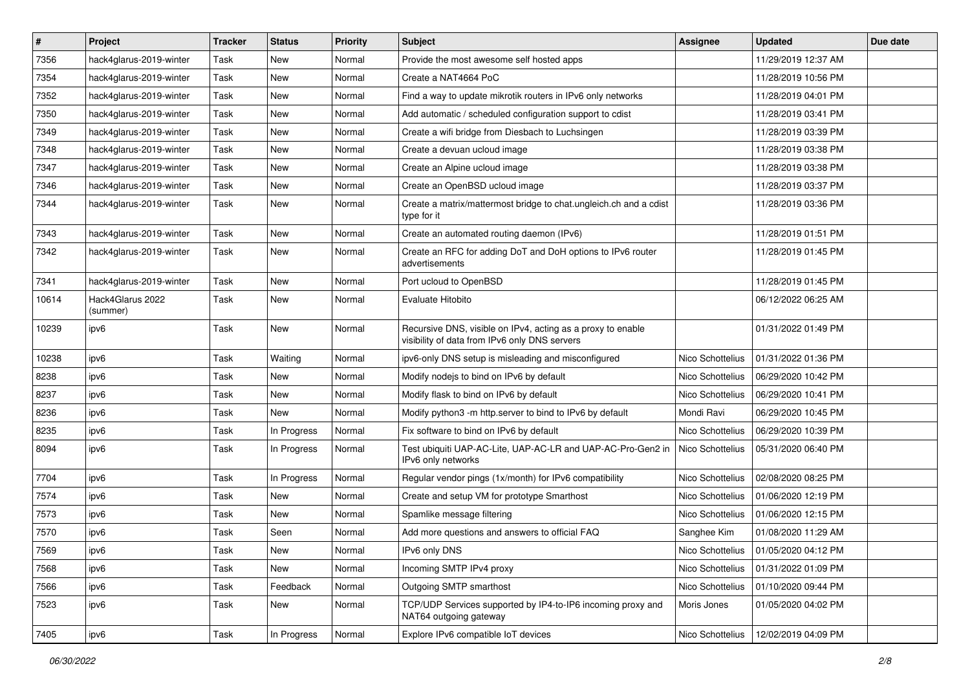| $\vert$ # | <b>Project</b>               | <b>Tracker</b> | <b>Status</b> | <b>Priority</b> | Subject                                                                                                      | <b>Assignee</b>  | <b>Updated</b>      | Due date |
|-----------|------------------------------|----------------|---------------|-----------------|--------------------------------------------------------------------------------------------------------------|------------------|---------------------|----------|
| 7356      | hack4glarus-2019-winter      | Task           | New           | Normal          | Provide the most awesome self hosted apps                                                                    |                  | 11/29/2019 12:37 AM |          |
| 7354      | hack4glarus-2019-winter      | Task           | New           | Normal          | Create a NAT4664 PoC                                                                                         |                  | 11/28/2019 10:56 PM |          |
| 7352      | hack4glarus-2019-winter      | Task           | New           | Normal          | Find a way to update mikrotik routers in IPv6 only networks                                                  |                  | 11/28/2019 04:01 PM |          |
| 7350      | hack4glarus-2019-winter      | Task           | New           | Normal          | Add automatic / scheduled configuration support to cdist                                                     |                  | 11/28/2019 03:41 PM |          |
| 7349      | hack4glarus-2019-winter      | Task           | New           | Normal          | Create a wifi bridge from Diesbach to Luchsingen                                                             |                  | 11/28/2019 03:39 PM |          |
| 7348      | hack4glarus-2019-winter      | Task           | New           | Normal          | Create a devuan ucloud image                                                                                 |                  | 11/28/2019 03:38 PM |          |
| 7347      | hack4glarus-2019-winter      | Task           | New           | Normal          | Create an Alpine ucloud image                                                                                |                  | 11/28/2019 03:38 PM |          |
| 7346      | hack4glarus-2019-winter      | Task           | New           | Normal          | Create an OpenBSD ucloud image                                                                               |                  | 11/28/2019 03:37 PM |          |
| 7344      | hack4glarus-2019-winter      | Task           | New           | Normal          | Create a matrix/mattermost bridge to chat.ungleich.ch and a cdist<br>type for it                             |                  | 11/28/2019 03:36 PM |          |
| 7343      | hack4glarus-2019-winter      | Task           | New           | Normal          | Create an automated routing daemon (IPv6)                                                                    |                  | 11/28/2019 01:51 PM |          |
| 7342      | hack4glarus-2019-winter      | Task           | New           | Normal          | Create an RFC for adding DoT and DoH options to IPv6 router<br>advertisements                                |                  | 11/28/2019 01:45 PM |          |
| 7341      | hack4glarus-2019-winter      | Task           | New           | Normal          | Port ucloud to OpenBSD                                                                                       |                  | 11/28/2019 01:45 PM |          |
| 10614     | Hack4Glarus 2022<br>(summer) | Task           | New           | Normal          | Evaluate Hitobito                                                                                            |                  | 06/12/2022 06:25 AM |          |
| 10239     | ipv6                         | Task           | New           | Normal          | Recursive DNS, visible on IPv4, acting as a proxy to enable<br>visibility of data from IPv6 only DNS servers |                  | 01/31/2022 01:49 PM |          |
| 10238     | ipv6                         | Task           | Waiting       | Normal          | ipv6-only DNS setup is misleading and misconfigured                                                          | Nico Schottelius | 01/31/2022 01:36 PM |          |
| 8238      | ipv6                         | Task           | New           | Normal          | Modify nodejs to bind on IPv6 by default                                                                     | Nico Schottelius | 06/29/2020 10:42 PM |          |
| 8237      | ipv6                         | Task           | New           | Normal          | Modify flask to bind on IPv6 by default                                                                      | Nico Schottelius | 06/29/2020 10:41 PM |          |
| 8236      | ipv6                         | Task           | New           | Normal          | Modify python3 -m http.server to bind to IPv6 by default                                                     | Mondi Ravi       | 06/29/2020 10:45 PM |          |
| 8235      | ipv6                         | Task           | In Progress   | Normal          | Fix software to bind on IPv6 by default                                                                      | Nico Schottelius | 06/29/2020 10:39 PM |          |
| 8094      | ipv6                         | Task           | In Progress   | Normal          | Test ubiquiti UAP-AC-Lite, UAP-AC-LR and UAP-AC-Pro-Gen2 in<br>IPv6 only networks                            | Nico Schottelius | 05/31/2020 06:40 PM |          |
| 7704      | ipv6                         | <b>Task</b>    | In Progress   | Normal          | Regular vendor pings (1x/month) for IPv6 compatibility                                                       | Nico Schottelius | 02/08/2020 08:25 PM |          |
| 7574      | ipv6                         | Task           | New           | Normal          | Create and setup VM for prototype Smarthost                                                                  | Nico Schottelius | 01/06/2020 12:19 PM |          |
| 7573      | ipv6                         | Task           | New           | Normal          | Spamlike message filtering                                                                                   | Nico Schottelius | 01/06/2020 12:15 PM |          |
| 7570      | ipv6                         | Task           | Seen          | Normal          | Add more questions and answers to official FAQ                                                               | Sanghee Kim      | 01/08/2020 11:29 AM |          |
| 7569      | ipv6                         | Task           | New           | Normal          | IPv6 only DNS                                                                                                | Nico Schottelius | 01/05/2020 04:12 PM |          |
| 7568      | ipv6                         | Task           | New           | Normal          | Incoming SMTP IPv4 proxy                                                                                     | Nico Schottelius | 01/31/2022 01:09 PM |          |
| 7566      | ipv6                         | Task           | Feedback      | Normal          | Outgoing SMTP smarthost                                                                                      | Nico Schottelius | 01/10/2020 09:44 PM |          |
| 7523      | ipv6                         | Task           | New           | Normal          | TCP/UDP Services supported by IP4-to-IP6 incoming proxy and<br>NAT64 outgoing gateway                        | Moris Jones      | 01/05/2020 04:02 PM |          |
| 7405      | ipv6                         | Task           | In Progress   | Normal          | Explore IPv6 compatible IoT devices                                                                          | Nico Schottelius | 12/02/2019 04:09 PM |          |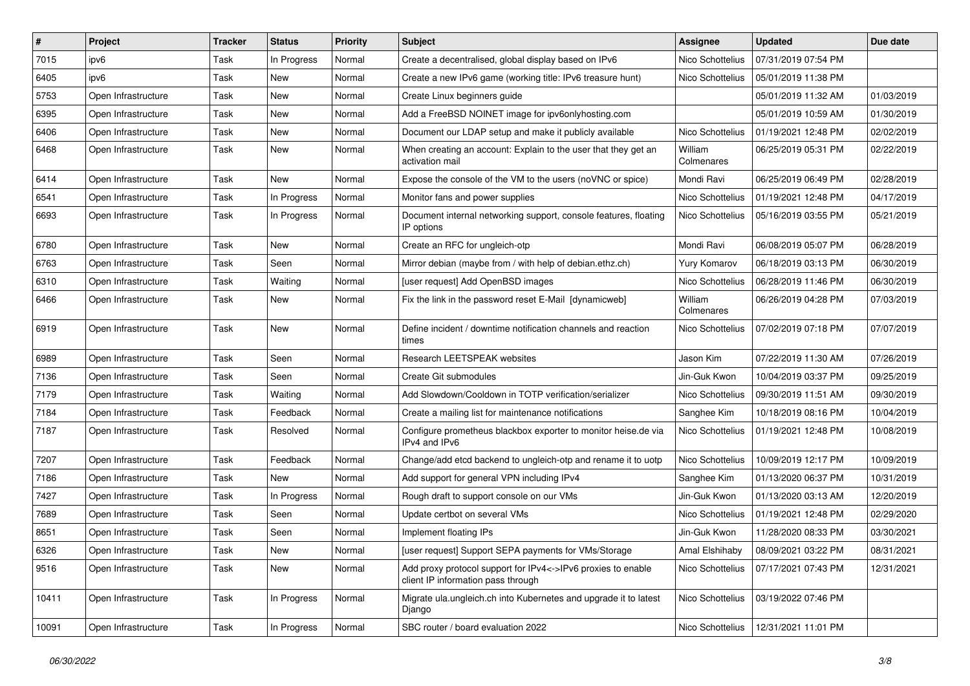| $\vert$ # | <b>Project</b>      | <b>Tracker</b> | <b>Status</b> | <b>Priority</b> | <b>Subject</b>                                                                                     | Assignee              | <b>Updated</b>      | Due date   |
|-----------|---------------------|----------------|---------------|-----------------|----------------------------------------------------------------------------------------------------|-----------------------|---------------------|------------|
| 7015      | ipv6                | Task           | In Progress   | Normal          | Create a decentralised, global display based on IPv6                                               | Nico Schottelius      | 07/31/2019 07:54 PM |            |
| 6405      | ipv6                | Task           | <b>New</b>    | Normal          | Create a new IPv6 game (working title: IPv6 treasure hunt)                                         | Nico Schottelius      | 05/01/2019 11:38 PM |            |
| 5753      | Open Infrastructure | Task           | New           | Normal          | Create Linux beginners guide                                                                       |                       | 05/01/2019 11:32 AM | 01/03/2019 |
| 6395      | Open Infrastructure | Task           | New           | Normal          | Add a FreeBSD NOINET image for ipv6onlyhosting.com                                                 |                       | 05/01/2019 10:59 AM | 01/30/2019 |
| 6406      | Open Infrastructure | Task           | New           | Normal          | Document our LDAP setup and make it publicly available                                             | Nico Schottelius      | 01/19/2021 12:48 PM | 02/02/2019 |
| 6468      | Open Infrastructure | Task           | New           | Normal          | When creating an account: Explain to the user that they get an<br>activation mail                  | William<br>Colmenares | 06/25/2019 05:31 PM | 02/22/2019 |
| 6414      | Open Infrastructure | Task           | New           | Normal          | Expose the console of the VM to the users (noVNC or spice)                                         | Mondi Ravi            | 06/25/2019 06:49 PM | 02/28/2019 |
| 6541      | Open Infrastructure | Task           | In Progress   | Normal          | Monitor fans and power supplies                                                                    | Nico Schottelius      | 01/19/2021 12:48 PM | 04/17/2019 |
| 6693      | Open Infrastructure | Task           | In Progress   | Normal          | Document internal networking support, console features, floating<br>IP options                     | Nico Schottelius      | 05/16/2019 03:55 PM | 05/21/2019 |
| 6780      | Open Infrastructure | Task           | New           | Normal          | Create an RFC for ungleich-otp                                                                     | Mondi Ravi            | 06/08/2019 05:07 PM | 06/28/2019 |
| 6763      | Open Infrastructure | Task           | Seen          | Normal          | Mirror debian (maybe from / with help of debian.ethz.ch)                                           | Yury Komarov          | 06/18/2019 03:13 PM | 06/30/2019 |
| 6310      | Open Infrastructure | Task           | Waiting       | Normal          | [user request] Add OpenBSD images                                                                  | Nico Schottelius      | 06/28/2019 11:46 PM | 06/30/2019 |
| 6466      | Open Infrastructure | Task           | New           | Normal          | Fix the link in the password reset E-Mail [dynamicweb]                                             | William<br>Colmenares | 06/26/2019 04:28 PM | 07/03/2019 |
| 6919      | Open Infrastructure | Task           | New           | Normal          | Define incident / downtime notification channels and reaction<br>times                             | Nico Schottelius      | 07/02/2019 07:18 PM | 07/07/2019 |
| 6989      | Open Infrastructure | Task           | Seen          | Normal          | <b>Research LEETSPEAK websites</b>                                                                 | Jason Kim             | 07/22/2019 11:30 AM | 07/26/2019 |
| 7136      | Open Infrastructure | Task           | Seen          | Normal          | Create Git submodules                                                                              | Jin-Guk Kwon          | 10/04/2019 03:37 PM | 09/25/2019 |
| 7179      | Open Infrastructure | Task           | Waiting       | Normal          | Add Slowdown/Cooldown in TOTP verification/serializer                                              | Nico Schottelius      | 09/30/2019 11:51 AM | 09/30/2019 |
| 7184      | Open Infrastructure | Task           | Feedback      | Normal          | Create a mailing list for maintenance notifications                                                | Sanghee Kim           | 10/18/2019 08:16 PM | 10/04/2019 |
| 7187      | Open Infrastructure | Task           | Resolved      | Normal          | Configure prometheus blackbox exporter to monitor heise.de via<br>IPv4 and IPv6                    | Nico Schottelius      | 01/19/2021 12:48 PM | 10/08/2019 |
| 7207      | Open Infrastructure | Task           | Feedback      | Normal          | Change/add etcd backend to ungleich-otp and rename it to uotp                                      | Nico Schottelius      | 10/09/2019 12:17 PM | 10/09/2019 |
| 7186      | Open Infrastructure | Task           | <b>New</b>    | Normal          | Add support for general VPN including IPv4                                                         | Sanghee Kim           | 01/13/2020 06:37 PM | 10/31/2019 |
| 7427      | Open Infrastructure | Task           | In Progress   | Normal          | Rough draft to support console on our VMs                                                          | Jin-Guk Kwon          | 01/13/2020 03:13 AM | 12/20/2019 |
| 7689      | Open Infrastructure | Task           | Seen          | Normal          | Update certbot on several VMs                                                                      | Nico Schottelius      | 01/19/2021 12:48 PM | 02/29/2020 |
| 8651      | Open Infrastructure | Task           | Seen          | Normal          | Implement floating IPs                                                                             | Jin-Guk Kwon          | 11/28/2020 08:33 PM | 03/30/2021 |
| 6326      | Open Infrastructure | Task           | New           | Normal          | [user request] Support SEPA payments for VMs/Storage                                               | Amal Elshihaby        | 08/09/2021 03:22 PM | 08/31/2021 |
| 9516      | Open Infrastructure | Task           | New           | Normal          | Add proxy protocol support for IPv4<->IPv6 proxies to enable<br>client IP information pass through | Nico Schottelius      | 07/17/2021 07:43 PM | 12/31/2021 |
| 10411     | Open Infrastructure | Task           | In Progress   | Normal          | Migrate ula.ungleich.ch into Kubernetes and upgrade it to latest<br>Django                         | Nico Schottelius      | 03/19/2022 07:46 PM |            |
| 10091     | Open Infrastructure | Task           | In Progress   | Normal          | SBC router / board evaluation 2022                                                                 | Nico Schottelius      | 12/31/2021 11:01 PM |            |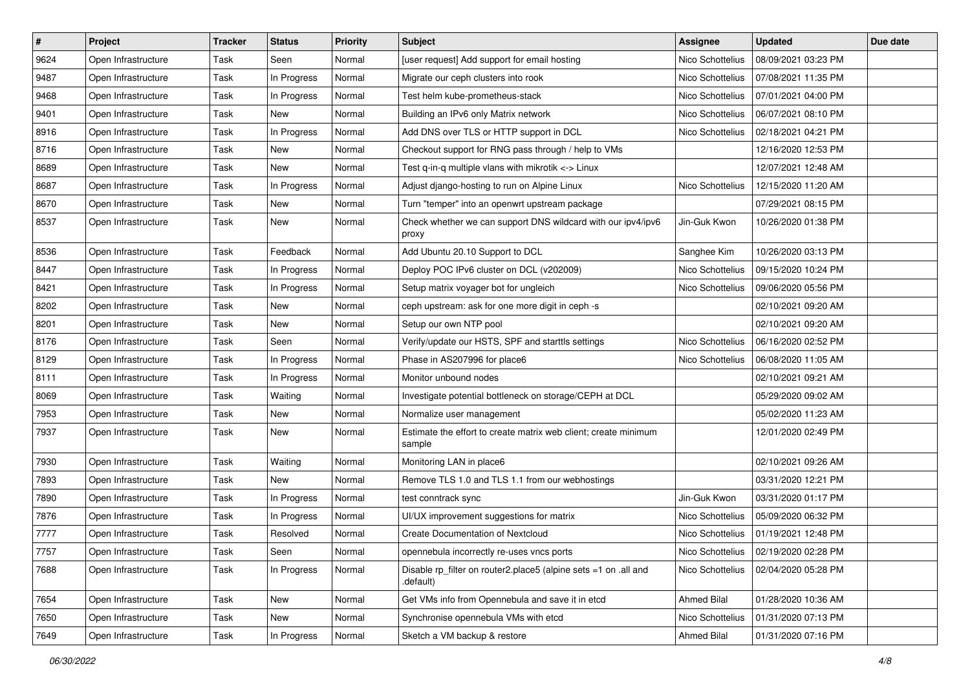| $\vert$ # | <b>Project</b>      | <b>Tracker</b> | <b>Status</b> | <b>Priority</b> | <b>Subject</b>                                                               | Assignee           | <b>Updated</b>      | Due date |
|-----------|---------------------|----------------|---------------|-----------------|------------------------------------------------------------------------------|--------------------|---------------------|----------|
| 9624      | Open Infrastructure | Task           | Seen          | Normal          | [user request] Add support for email hosting                                 | Nico Schottelius   | 08/09/2021 03:23 PM |          |
| 9487      | Open Infrastructure | <b>Task</b>    | In Progress   | Normal          | Migrate our ceph clusters into rook                                          | Nico Schottelius   | 07/08/2021 11:35 PM |          |
| 9468      | Open Infrastructure | Task           | In Progress   | Normal          | Test helm kube-prometheus-stack                                              | Nico Schottelius   | 07/01/2021 04:00 PM |          |
| 9401      | Open Infrastructure | Task           | New           | Normal          | Building an IPv6 only Matrix network                                         | Nico Schottelius   | 06/07/2021 08:10 PM |          |
| 8916      | Open Infrastructure | <b>Task</b>    | In Progress   | Normal          | Add DNS over TLS or HTTP support in DCL                                      | Nico Schottelius   | 02/18/2021 04:21 PM |          |
| 8716      | Open Infrastructure | Task           | New           | Normal          | Checkout support for RNG pass through / help to VMs                          |                    | 12/16/2020 12:53 PM |          |
| 8689      | Open Infrastructure | <b>Task</b>    | New           | Normal          | Test q-in-q multiple vlans with mikrotik <-> Linux                           |                    | 12/07/2021 12:48 AM |          |
| 8687      | Open Infrastructure | Task           | In Progress   | Normal          | Adjust django-hosting to run on Alpine Linux                                 | Nico Schottelius   | 12/15/2020 11:20 AM |          |
| 8670      | Open Infrastructure | Task           | New           | Normal          | Turn "temper" into an openwrt upstream package                               |                    | 07/29/2021 08:15 PM |          |
| 8537      | Open Infrastructure | Task           | New           | Normal          | Check whether we can support DNS wildcard with our ipv4/ipv6<br>proxy        | Jin-Guk Kwon       | 10/26/2020 01:38 PM |          |
| 8536      | Open Infrastructure | Task           | Feedback      | Normal          | Add Ubuntu 20.10 Support to DCL                                              | Sanghee Kim        | 10/26/2020 03:13 PM |          |
| 8447      | Open Infrastructure | Task           | In Progress   | Normal          | Deploy POC IPv6 cluster on DCL (v202009)                                     | Nico Schottelius   | 09/15/2020 10:24 PM |          |
| 8421      | Open Infrastructure | Task           | In Progress   | Normal          | Setup matrix voyager bot for ungleich                                        | Nico Schottelius   | 09/06/2020 05:56 PM |          |
| 8202      | Open Infrastructure | <b>Task</b>    | New           | Normal          | ceph upstream: ask for one more digit in ceph -s                             |                    | 02/10/2021 09:20 AM |          |
| 8201      | Open Infrastructure | Task           | New           | Normal          | Setup our own NTP pool                                                       |                    | 02/10/2021 09:20 AM |          |
| 8176      | Open Infrastructure | Task           | Seen          | Normal          | Verify/update our HSTS, SPF and starttls settings                            | Nico Schottelius   | 06/16/2020 02:52 PM |          |
| 8129      | Open Infrastructure | Task           | In Progress   | Normal          | Phase in AS207996 for place6                                                 | Nico Schottelius   | 06/08/2020 11:05 AM |          |
| 8111      | Open Infrastructure | Task           | In Progress   | Normal          | Monitor unbound nodes                                                        |                    | 02/10/2021 09:21 AM |          |
| 8069      | Open Infrastructure | Task           | Waiting       | Normal          | Investigate potential bottleneck on storage/CEPH at DCL                      |                    | 05/29/2020 09:02 AM |          |
| 7953      | Open Infrastructure | Task           | New           | Normal          | Normalize user management                                                    |                    | 05/02/2020 11:23 AM |          |
| 7937      | Open Infrastructure | Task           | New           | Normal          | Estimate the effort to create matrix web client; create minimum<br>sample    |                    | 12/01/2020 02:49 PM |          |
| 7930      | Open Infrastructure | Task           | Waiting       | Normal          | Monitoring LAN in place6                                                     |                    | 02/10/2021 09:26 AM |          |
| 7893      | Open Infrastructure | Task           | New           | Normal          | Remove TLS 1.0 and TLS 1.1 from our webhostings                              |                    | 03/31/2020 12:21 PM |          |
| 7890      | Open Infrastructure | Task           | In Progress   | Normal          | test conntrack sync                                                          | Jin-Guk Kwon       | 03/31/2020 01:17 PM |          |
| 7876      | Open Infrastructure | Task           | In Progress   | Normal          | UI/UX improvement suggestions for matrix                                     | Nico Schottelius   | 05/09/2020 06:32 PM |          |
| 7777      | Open Infrastructure | <b>Task</b>    | Resolved      | Normal          | <b>Create Documentation of Nextcloud</b>                                     | Nico Schottelius   | 01/19/2021 12:48 PM |          |
| 7757      | Open Infrastructure | Task           | Seen          | Normal          | opennebula incorrectly re-uses vncs ports                                    | Nico Schottelius   | 02/19/2020 02:28 PM |          |
| 7688      | Open Infrastructure | Task           | In Progress   | Normal          | Disable rp filter on router2.place5 (alpine sets =1 on .all and<br>.default) | Nico Schottelius   | 02/04/2020 05:28 PM |          |
| 7654      | Open Infrastructure | Task           | New           | Normal          | Get VMs info from Opennebula and save it in etcd                             | Ahmed Bilal        | 01/28/2020 10:36 AM |          |
| 7650      | Open Infrastructure | Task           | New           | Normal          | Synchronise opennebula VMs with etcd                                         | Nico Schottelius   | 01/31/2020 07:13 PM |          |
| 7649      | Open Infrastructure | Task           | In Progress   | Normal          | Sketch a VM backup & restore                                                 | <b>Ahmed Bilal</b> | 01/31/2020 07:16 PM |          |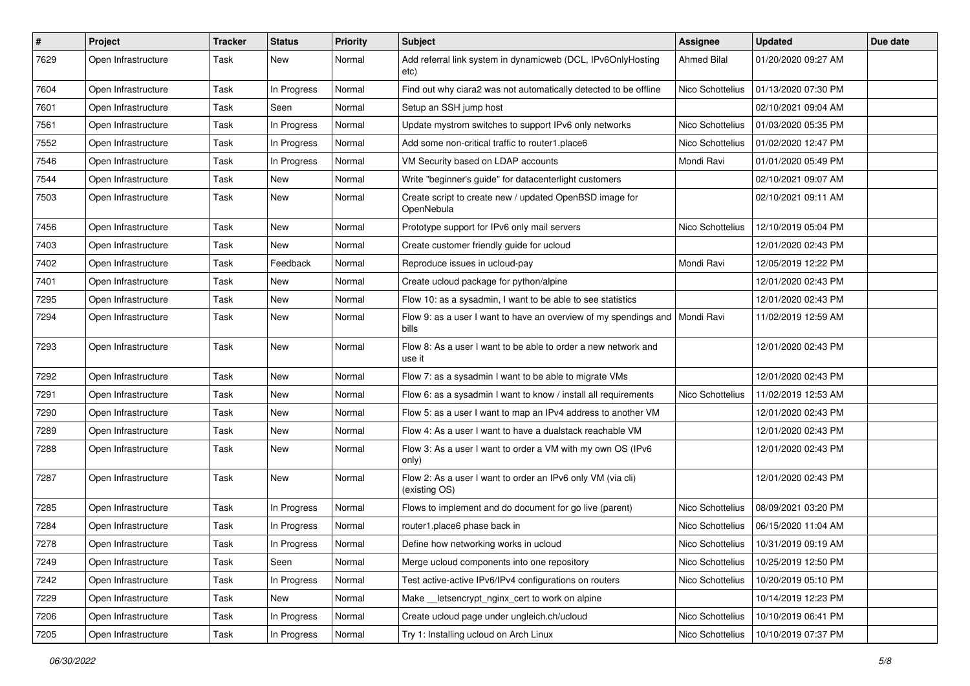| $\pmb{\#}$ | <b>Project</b>      | <b>Tracker</b> | <b>Status</b> | <b>Priority</b> | Subject                                                                                | <b>Assignee</b>    | <b>Updated</b>      | Due date |
|------------|---------------------|----------------|---------------|-----------------|----------------------------------------------------------------------------------------|--------------------|---------------------|----------|
| 7629       | Open Infrastructure | Task           | New           | Normal          | Add referral link system in dynamicweb (DCL, IPv6OnlyHosting<br>etc)                   | <b>Ahmed Bilal</b> | 01/20/2020 09:27 AM |          |
| 7604       | Open Infrastructure | Task           | In Progress   | Normal          | Find out why ciara2 was not automatically detected to be offline                       | Nico Schottelius   | 01/13/2020 07:30 PM |          |
| 7601       | Open Infrastructure | Task           | Seen          | Normal          | Setup an SSH jump host                                                                 |                    | 02/10/2021 09:04 AM |          |
| 7561       | Open Infrastructure | <b>Task</b>    | In Progress   | Normal          | Update mystrom switches to support IPv6 only networks                                  | Nico Schottelius   | 01/03/2020 05:35 PM |          |
| 7552       | Open Infrastructure | Task           | In Progress   | Normal          | Add some non-critical traffic to router1.place6                                        | Nico Schottelius   | 01/02/2020 12:47 PM |          |
| 7546       | Open Infrastructure | Task           | In Progress   | Normal          | VM Security based on LDAP accounts                                                     | Mondi Ravi         | 01/01/2020 05:49 PM |          |
| 7544       | Open Infrastructure | Task           | New           | Normal          | Write "beginner's guide" for datacenterlight customers                                 |                    | 02/10/2021 09:07 AM |          |
| 7503       | Open Infrastructure | Task           | New           | Normal          | Create script to create new / updated OpenBSD image for<br>OpenNebula                  |                    | 02/10/2021 09:11 AM |          |
| 7456       | Open Infrastructure | Task           | New           | Normal          | Prototype support for IPv6 only mail servers                                           | Nico Schottelius   | 12/10/2019 05:04 PM |          |
| 7403       | Open Infrastructure | Task           | New           | Normal          | Create customer friendly guide for ucloud                                              |                    | 12/01/2020 02:43 PM |          |
| 7402       | Open Infrastructure | Task           | Feedback      | Normal          | Reproduce issues in ucloud-pay                                                         | Mondi Ravi         | 12/05/2019 12:22 PM |          |
| 7401       | Open Infrastructure | Task           | New           | Normal          | Create ucloud package for python/alpine                                                |                    | 12/01/2020 02:43 PM |          |
| 7295       | Open Infrastructure | Task           | New           | Normal          | Flow 10: as a sysadmin, I want to be able to see statistics                            |                    | 12/01/2020 02:43 PM |          |
| 7294       | Open Infrastructure | Task           | New           | Normal          | Flow 9: as a user I want to have an overview of my spendings and   Mondi Ravi<br>bills |                    | 11/02/2019 12:59 AM |          |
| 7293       | Open Infrastructure | Task           | New           | Normal          | Flow 8: As a user I want to be able to order a new network and<br>use it               |                    | 12/01/2020 02:43 PM |          |
| 7292       | Open Infrastructure | Task           | New           | Normal          | Flow 7: as a sysadmin I want to be able to migrate VMs                                 |                    | 12/01/2020 02:43 PM |          |
| 7291       | Open Infrastructure | <b>Task</b>    | New           | Normal          | Flow 6: as a sysadmin I want to know / install all requirements                        | Nico Schottelius   | 11/02/2019 12:53 AM |          |
| 7290       | Open Infrastructure | Task           | New           | Normal          | Flow 5: as a user I want to map an IPv4 address to another VM                          |                    | 12/01/2020 02:43 PM |          |
| 7289       | Open Infrastructure | Task           | New           | Normal          | Flow 4: As a user I want to have a dualstack reachable VM                              |                    | 12/01/2020 02:43 PM |          |
| 7288       | Open Infrastructure | Task           | New           | Normal          | Flow 3: As a user I want to order a VM with my own OS (IPv6<br>only)                   |                    | 12/01/2020 02:43 PM |          |
| 7287       | Open Infrastructure | Task           | New           | Normal          | Flow 2: As a user I want to order an IPv6 only VM (via cli)<br>(existing OS)           |                    | 12/01/2020 02:43 PM |          |
| 7285       | Open Infrastructure | Task           | In Progress   | Normal          | Flows to implement and do document for go live (parent)                                | Nico Schottelius   | 08/09/2021 03:20 PM |          |
| 7284       | Open Infrastructure | Task           | In Progress   | Normal          | router1.place6 phase back in                                                           | Nico Schottelius   | 06/15/2020 11:04 AM |          |
| 7278       | Open Infrastructure | Task           | In Progress   | Normal          | Define how networking works in ucloud                                                  | Nico Schottelius   | 10/31/2019 09:19 AM |          |
| 7249       | Open Infrastructure | Task           | Seen          | Normal          | Merge ucloud components into one repository                                            | Nico Schottelius   | 10/25/2019 12:50 PM |          |
| 7242       | Open Infrastructure | Task           | In Progress   | Normal          | Test active-active IPv6/IPv4 configurations on routers                                 | Nico Schottelius   | 10/20/2019 05:10 PM |          |
| 7229       | Open Infrastructure | Task           | New           | Normal          | Make __ letsencrypt_nginx_cert to work on alpine                                       |                    | 10/14/2019 12:23 PM |          |
| 7206       | Open Infrastructure | Task           | In Progress   | Normal          | Create ucloud page under ungleich.ch/ucloud                                            | Nico Schottelius   | 10/10/2019 06:41 PM |          |
| 7205       | Open Infrastructure | Task           | In Progress   | Normal          | Try 1: Installing ucloud on Arch Linux                                                 | Nico Schottelius   | 10/10/2019 07:37 PM |          |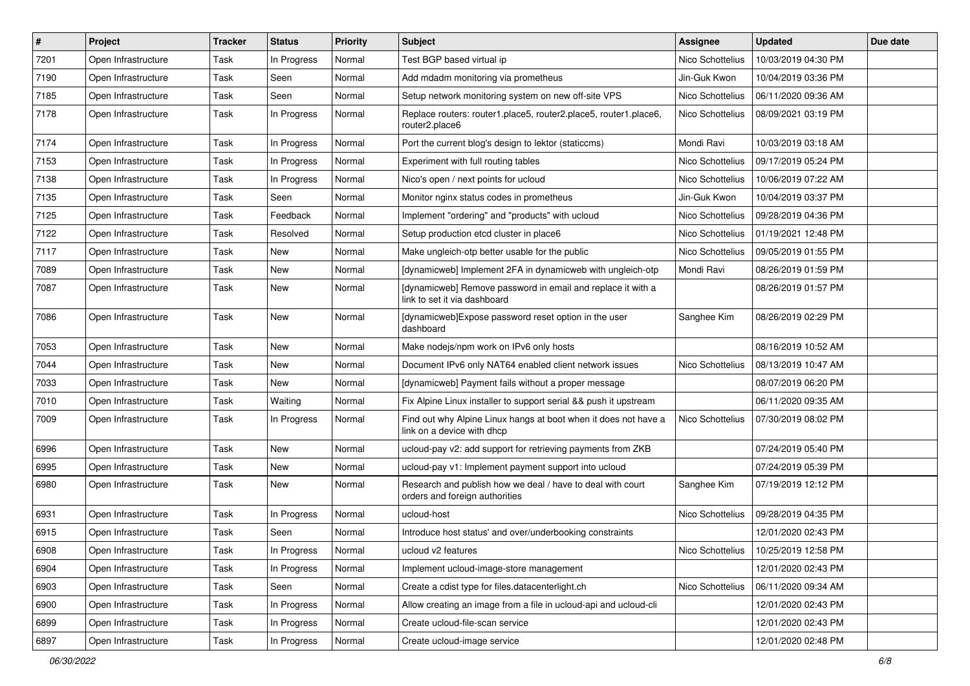| #    | Project             | Tracker | <b>Status</b> | <b>Priority</b> | <b>Subject</b>                                                                                | <b>Assignee</b>  | <b>Updated</b>      | Due date |
|------|---------------------|---------|---------------|-----------------|-----------------------------------------------------------------------------------------------|------------------|---------------------|----------|
| 7201 | Open Infrastructure | Task    | In Progress   | Normal          | Test BGP based virtual ip                                                                     | Nico Schottelius | 10/03/2019 04:30 PM |          |
| 7190 | Open Infrastructure | Task    | Seen          | Normal          | Add mdadm monitoring via prometheus                                                           | Jin-Guk Kwon     | 10/04/2019 03:36 PM |          |
| 7185 | Open Infrastructure | Task    | Seen          | Normal          | Setup network monitoring system on new off-site VPS                                           | Nico Schottelius | 06/11/2020 09:36 AM |          |
| 7178 | Open Infrastructure | Task    | In Progress   | Normal          | Replace routers: router1.place5, router2.place5, router1.place6,<br>router2.place6            | Nico Schottelius | 08/09/2021 03:19 PM |          |
| 7174 | Open Infrastructure | Task    | In Progress   | Normal          | Port the current blog's design to lektor (staticcms)                                          | Mondi Ravi       | 10/03/2019 03:18 AM |          |
| 7153 | Open Infrastructure | Task    | In Progress   | Normal          | Experiment with full routing tables                                                           | Nico Schottelius | 09/17/2019 05:24 PM |          |
| 7138 | Open Infrastructure | Task    | In Progress   | Normal          | Nico's open / next points for ucloud                                                          | Nico Schottelius | 10/06/2019 07:22 AM |          |
| 7135 | Open Infrastructure | Task    | Seen          | Normal          | Monitor nginx status codes in prometheus                                                      | Jin-Guk Kwon     | 10/04/2019 03:37 PM |          |
| 7125 | Open Infrastructure | Task    | Feedback      | Normal          | Implement "ordering" and "products" with ucloud                                               | Nico Schottelius | 09/28/2019 04:36 PM |          |
| 7122 | Open Infrastructure | Task    | Resolved      | Normal          | Setup production etcd cluster in place6                                                       | Nico Schottelius | 01/19/2021 12:48 PM |          |
| 7117 | Open Infrastructure | Task    | New           | Normal          | Make ungleich-otp better usable for the public                                                | Nico Schottelius | 09/05/2019 01:55 PM |          |
| 7089 | Open Infrastructure | Task    | New           | Normal          | [dynamicweb] Implement 2FA in dynamicweb with ungleich-otp                                    | Mondi Ravi       | 08/26/2019 01:59 PM |          |
| 7087 | Open Infrastructure | Task    | New           | Normal          | [dynamicweb] Remove password in email and replace it with a<br>link to set it via dashboard   |                  | 08/26/2019 01:57 PM |          |
| 7086 | Open Infrastructure | Task    | New           | Normal          | [dynamicweb]Expose password reset option in the user<br>dashboard                             | Sanghee Kim      | 08/26/2019 02:29 PM |          |
| 7053 | Open Infrastructure | Task    | New           | Normal          | Make nodejs/npm work on IPv6 only hosts                                                       |                  | 08/16/2019 10:52 AM |          |
| 7044 | Open Infrastructure | Task    | New           | Normal          | Document IPv6 only NAT64 enabled client network issues                                        | Nico Schottelius | 08/13/2019 10:47 AM |          |
| 7033 | Open Infrastructure | Task    | New           | Normal          | [dynamicweb] Payment fails without a proper message                                           |                  | 08/07/2019 06:20 PM |          |
| 7010 | Open Infrastructure | Task    | Waiting       | Normal          | Fix Alpine Linux installer to support serial && push it upstream                              |                  | 06/11/2020 09:35 AM |          |
| 7009 | Open Infrastructure | Task    | In Progress   | Normal          | Find out why Alpine Linux hangs at boot when it does not have a<br>link on a device with dhcp | Nico Schottelius | 07/30/2019 08:02 PM |          |
| 6996 | Open Infrastructure | Task    | New           | Normal          | ucloud-pay v2: add support for retrieving payments from ZKB                                   |                  | 07/24/2019 05:40 PM |          |
| 6995 | Open Infrastructure | Task    | New           | Normal          | ucloud-pay v1: Implement payment support into ucloud                                          |                  | 07/24/2019 05:39 PM |          |
| 6980 | Open Infrastructure | Task    | New           | Normal          | Research and publish how we deal / have to deal with court<br>orders and foreign authorities  | Sanghee Kim      | 07/19/2019 12:12 PM |          |
| 6931 | Open Infrastructure | Task    | In Progress   | Normal          | ucloud-host                                                                                   | Nico Schottelius | 09/28/2019 04:35 PM |          |
| 6915 | Open Infrastructure | Task    | Seen          | Normal          | Introduce host status' and over/underbooking constraints                                      |                  | 12/01/2020 02:43 PM |          |
| 6908 | Open Infrastructure | Task    | In Progress   | Normal          | ucloud v2 features                                                                            | Nico Schottelius | 10/25/2019 12:58 PM |          |
| 6904 | Open Infrastructure | Task    | In Progress   | Normal          | Implement ucloud-image-store management                                                       |                  | 12/01/2020 02:43 PM |          |
| 6903 | Open Infrastructure | Task    | Seen          | Normal          | Create a cdist type for files.datacenterlight.ch                                              | Nico Schottelius | 06/11/2020 09:34 AM |          |
| 6900 | Open Infrastructure | Task    | In Progress   | Normal          | Allow creating an image from a file in ucloud-api and ucloud-cli                              |                  | 12/01/2020 02:43 PM |          |
| 6899 | Open Infrastructure | Task    | In Progress   | Normal          | Create ucloud-file-scan service                                                               |                  | 12/01/2020 02:43 PM |          |
| 6897 | Open Infrastructure | Task    | In Progress   | Normal          | Create ucloud-image service                                                                   |                  | 12/01/2020 02:48 PM |          |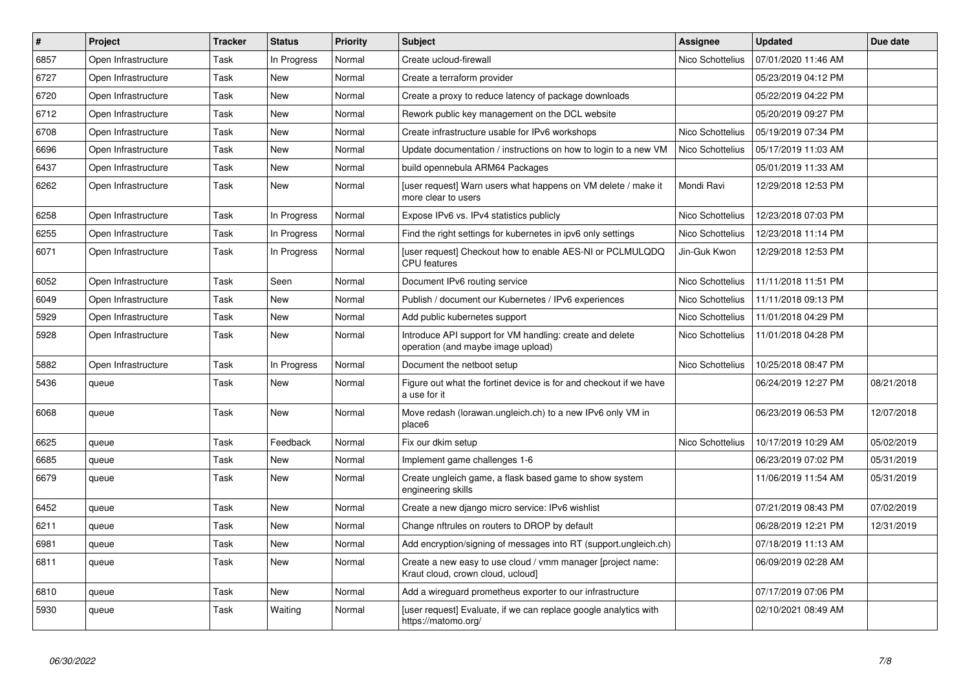| $\pmb{\#}$ | Project             | <b>Tracker</b> | <b>Status</b> | <b>Priority</b> | <b>Subject</b>                                                                                   | Assignee         | <b>Updated</b>      | Due date   |
|------------|---------------------|----------------|---------------|-----------------|--------------------------------------------------------------------------------------------------|------------------|---------------------|------------|
| 6857       | Open Infrastructure | Task           | In Progress   | Normal          | Create ucloud-firewall                                                                           | Nico Schottelius | 07/01/2020 11:46 AM |            |
| 6727       | Open Infrastructure | Task           | <b>New</b>    | Normal          | Create a terraform provider                                                                      |                  | 05/23/2019 04:12 PM |            |
| 6720       | Open Infrastructure | Task           | New           | Normal          | Create a proxy to reduce latency of package downloads                                            |                  | 05/22/2019 04:22 PM |            |
| 6712       | Open Infrastructure | Task           | <b>New</b>    | Normal          | Rework public key management on the DCL website                                                  |                  | 05/20/2019 09:27 PM |            |
| 6708       | Open Infrastructure | Task           | New           | Normal          | Create infrastructure usable for IPv6 workshops                                                  | Nico Schottelius | 05/19/2019 07:34 PM |            |
| 6696       | Open Infrastructure | Task           | New           | Normal          | Update documentation / instructions on how to login to a new VM                                  | Nico Schottelius | 05/17/2019 11:03 AM |            |
| 6437       | Open Infrastructure | Task           | <b>New</b>    | Normal          | build opennebula ARM64 Packages                                                                  |                  | 05/01/2019 11:33 AM |            |
| 6262       | Open Infrastructure | Task           | New           | Normal          | [user request] Warn users what happens on VM delete / make it<br>more clear to users             | Mondi Ravi       | 12/29/2018 12:53 PM |            |
| 6258       | Open Infrastructure | Task           | In Progress   | Normal          | Expose IPv6 vs. IPv4 statistics publicly                                                         | Nico Schottelius | 12/23/2018 07:03 PM |            |
| 6255       | Open Infrastructure | Task           | In Progress   | Normal          | Find the right settings for kubernetes in ipv6 only settings                                     | Nico Schottelius | 12/23/2018 11:14 PM |            |
| 6071       | Open Infrastructure | Task           | In Progress   | Normal          | [user request] Checkout how to enable AES-NI or PCLMULQDQ<br><b>CPU</b> features                 | Jin-Guk Kwon     | 12/29/2018 12:53 PM |            |
| 6052       | Open Infrastructure | Task           | Seen          | Normal          | Document IPv6 routing service                                                                    | Nico Schottelius | 11/11/2018 11:51 PM |            |
| 6049       | Open Infrastructure | Task           | New           | Normal          | Publish / document our Kubernetes / IPv6 experiences                                             | Nico Schottelius | 11/11/2018 09:13 PM |            |
| 5929       | Open Infrastructure | Task           | New           | Normal          | Add public kubernetes support                                                                    | Nico Schottelius | 11/01/2018 04:29 PM |            |
| 5928       | Open Infrastructure | Task           | New           | Normal          | Introduce API support for VM handling: create and delete<br>operation (and maybe image upload)   | Nico Schottelius | 11/01/2018 04:28 PM |            |
| 5882       | Open Infrastructure | Task           | In Progress   | Normal          | Document the netboot setup                                                                       | Nico Schottelius | 10/25/2018 08:47 PM |            |
| 5436       | queue               | Task           | <b>New</b>    | Normal          | Figure out what the fortinet device is for and checkout if we have<br>a use for it               |                  | 06/24/2019 12:27 PM | 08/21/2018 |
| 6068       | queue               | Task           | <b>New</b>    | Normal          | Move redash (lorawan.ungleich.ch) to a new IPv6 only VM in<br>place6                             |                  | 06/23/2019 06:53 PM | 12/07/2018 |
| 6625       | queue               | Task           | Feedback      | Normal          | Fix our dkim setup                                                                               | Nico Schottelius | 10/17/2019 10:29 AM | 05/02/2019 |
| 6685       | queue               | Task           | New           | Normal          | Implement game challenges 1-6                                                                    |                  | 06/23/2019 07:02 PM | 05/31/2019 |
| 6679       | queue               | Task           | New           | Normal          | Create ungleich game, a flask based game to show system<br>engineering skills                    |                  | 11/06/2019 11:54 AM | 05/31/2019 |
| 6452       | queue               | Task           | <b>New</b>    | Normal          | Create a new django micro service: IPv6 wishlist                                                 |                  | 07/21/2019 08:43 PM | 07/02/2019 |
| 6211       | queue               | Task           | New           | Normal          | Change nftrules on routers to DROP by default                                                    |                  | 06/28/2019 12:21 PM | 12/31/2019 |
| 6981       | queue               | Task           | New           | Normal          | Add encryption/signing of messages into RT (support.ungleich.ch)                                 |                  | 07/18/2019 11:13 AM |            |
| 6811       | queue               | Task           | New           | Normal          | Create a new easy to use cloud / vmm manager [project name:<br>Kraut cloud, crown cloud, ucloud] |                  | 06/09/2019 02:28 AM |            |
| 6810       | queue               | Task           | New           | Normal          | Add a wireguard prometheus exporter to our infrastructure                                        |                  | 07/17/2019 07:06 PM |            |
| 5930       | queue               | Task           | Waiting       | Normal          | [user request] Evaluate, if we can replace google analytics with<br>https://matomo.org/          |                  | 02/10/2021 08:49 AM |            |